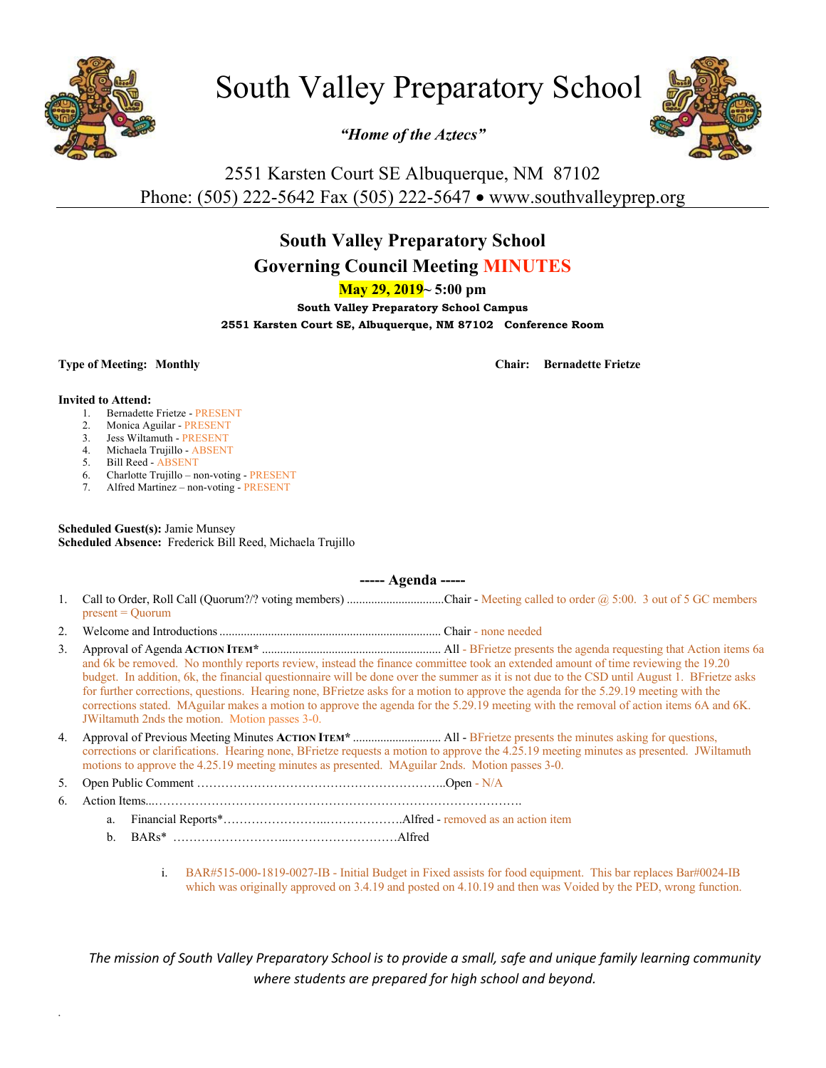

# South Valley Preparatory School

*"Home of the Aztecs"*



# 2551 Karsten Court SE Albuquerque, NM 87102 Phone: (505) 222-5642 Fax (505) 222-5647 • www.southvalleyprep.org

## **South Valley Preparatory School**

## **Governing Council Meeting MINUTES**

**May 29, 2019~ 5:00 pm**

**South Valley Preparatory School Campus 2551 Karsten Court SE, Albuquerque, NM 87102 Conference Room**

**Type of Meeting: Monthly Chair: Bernadette Frietze**

#### **Invited to Attend:**

*.*

- 1. Bernadette Frietze PRESENT
- 2. Monica Aguilar PRESENT
- 3. Jess Wiltamuth PRESENT
- 4. Michaela Trujillo ABSENT
- 5. Bill Reed ABSENT
- 6. Charlotte Trujillo non-voting PRESENT
- 7. Alfred Martinez non-voting PRESENT

**Scheduled Guest(s):** Jamie Munsey **Scheduled Absence:** Frederick Bill Reed, Michaela Trujillo

### **----- Agenda -----**

- 1. Call to Order, Roll Call (Quorum?/? voting members) ..................................Chair Meeting called to order @ 5:00. 3 out of 5 GC members present = Quorum
- 2. Welcome and Introductions......................................................................... Chair none needed
- 3. Approval of Agenda **ACTION ITEM\*** ........................................................... All BFrietze presents the agenda requesting that Action items 6a and 6k be removed. No monthly reports review, instead the finance committee took an extended amount of time reviewing the 19.20 budget. In addition, 6k, the financial questionnaire will be done over the summer as it is not due to the CSD until August 1. BFrietze asks for further corrections, questions. Hearing none, BFrietze asks for a motion to approve the agenda for the 5.29.19 meeting with the corrections stated. MAguilar makes a motion to approve the agenda for the 5.29.19 meeting with the removal of action items 6A and 6K. JWiltamuth 2nds the motion. Motion passes 3-0.
- 4. Approval of Previous Meeting Minutes **ACTION ITEM\*** ............................. All BFrietze presents the minutes asking for questions, corrections or clarifications. Hearing none, BFrietze requests a motion to approve the 4.25.19 meeting minutes as presented. JWiltamuth motions to approve the 4.25.19 meeting minutes as presented. MAguilar 2nds. Motion passes 3-0.
- 5. Open Public Comment ……………………………………………………..Open N/A
- 6. Action Items...……………………………………………………………………………….
	- a. Financial Reports\*……………………..……………….Alfred removed as an action item
	- b. BARs\* ………………………..………………………Alfred
		- i. BAR#515-000-1819-0027-IB Initial Budget in Fixed assists for food equipment. This bar replaces Bar#0024-IB which was originally approved on 3.4.19 and posted on 4.10.19 and then was Voided by the PED, wrong function.

The mission of South Valley Preparatory School is to provide a small, safe and unique family learning community *where students are prepared for high school and beyond.*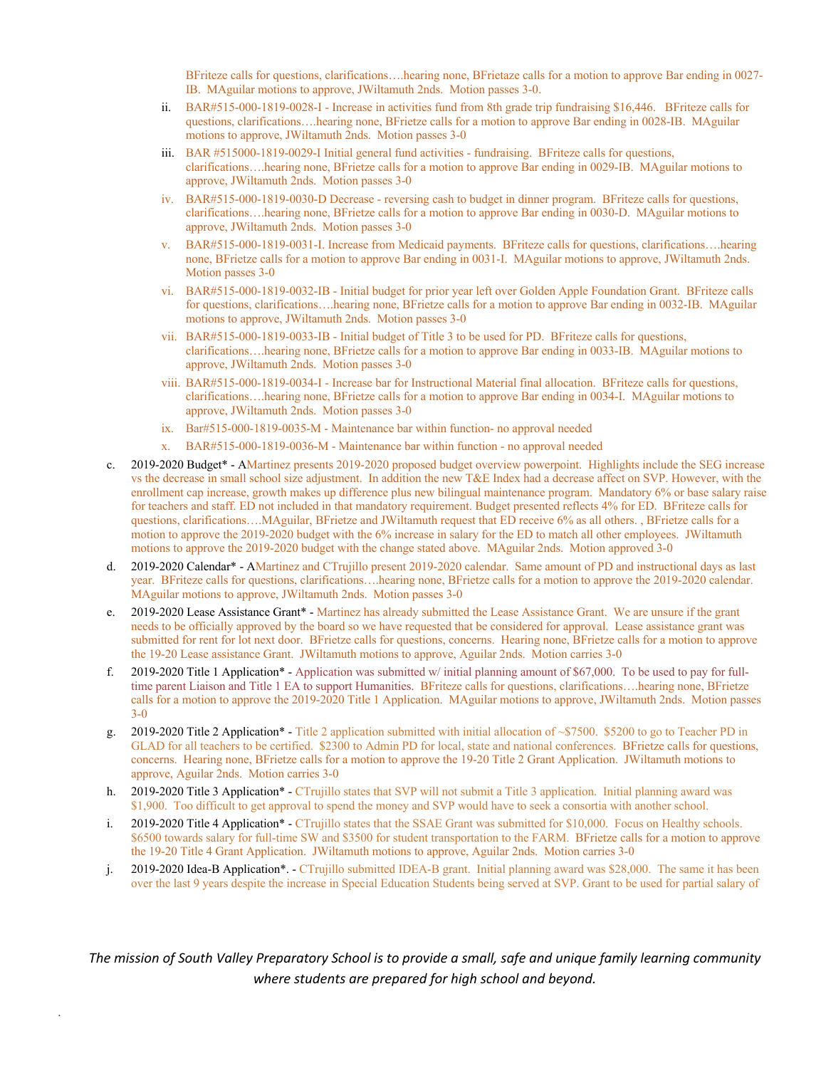BFriteze calls for questions, clarifications….hearing none, BFrietaze calls for a motion to approve Bar ending in 0027- IB. MAguilar motions to approve, JWiltamuth 2nds. Motion passes 3-0.

- ii. BAR#515-000-1819-0028-I Increase in activities fund from 8th grade trip fundraising \$16,446. BFriteze calls for questions, clarifications….hearing none, BFrietze calls for a motion to approve Bar ending in 0028-IB. MAguilar motions to approve, JWiltamuth 2nds. Motion passes 3-0
- iii. BAR #515000-1819-0029-I Initial general fund activities fundraising. BFriteze calls for questions, clarifications….hearing none, BFrietze calls for a motion to approve Bar ending in 0029-IB. MAguilar motions to approve, JWiltamuth 2nds. Motion passes 3-0
- iv. BAR#515-000-1819-0030-D Decrease reversing cash to budget in dinner program. BFriteze calls for questions, clarifications….hearing none, BFrietze calls for a motion to approve Bar ending in 0030-D. MAguilar motions to approve, JWiltamuth 2nds. Motion passes 3-0
- BAR#515-000-1819-0031-I. Increase from Medicaid payments. BFriteze calls for questions, clarifications….hearing none, BFrietze calls for a motion to approve Bar ending in 0031-I. MAguilar motions to approve, JWiltamuth 2nds. Motion passes 3-0
- vi. BAR#515-000-1819-0032-IB Initial budget for prior year left over Golden Apple Foundation Grant. BFriteze calls for questions, clarifications….hearing none, BFrietze calls for a motion to approve Bar ending in 0032-IB. MAguilar motions to approve, JWiltamuth 2nds. Motion passes 3-0
- vii. BAR#515-000-1819-0033-IB Initial budget of Title 3 to be used for PD. BFriteze calls for questions, clarifications….hearing none, BFrietze calls for a motion to approve Bar ending in 0033-IB. MAguilar motions to approve, JWiltamuth 2nds. Motion passes 3-0
- viii. BAR#515-000-1819-0034-I Increase bar for Instructional Material final allocation. BFriteze calls for questions, clarifications….hearing none, BFrietze calls for a motion to approve Bar ending in 0034-I. MAguilar motions to approve, JWiltamuth 2nds. Motion passes 3-0
- ix. Bar#515-000-1819-0035-M Maintenance bar within function- no approval needed
- x. BAR#515-000-1819-0036-M Maintenance bar within function no approval needed
- c. 2019-2020 Budget\* AMartinez presents 2019-2020 proposed budget overview powerpoint. Highlights include the SEG increase vs the decrease in small school size adjustment. In addition the new T&E Index had a decrease affect on SVP. However, with the enrollment cap increase, growth makes up difference plus new bilingual maintenance program. Mandatory 6% or base salary raise for teachers and staff. ED not included in that mandatory requirement. Budget presented reflects 4% for ED. BFriteze calls for questions, clarifications….MAguilar, BFrietze and JWiltamuth request that ED receive 6% as all others. , BFrietze calls for a motion to approve the 2019-2020 budget with the 6% increase in salary for the ED to match all other employees. JWiltamuth motions to approve the 2019-2020 budget with the change stated above. MAguilar 2nds. Motion approved 3-0
- d. 2019-2020 Calendar\* AMartinez and CTrujillo present 2019-2020 calendar. Same amount of PD and instructional days as last year. BFriteze calls for questions, clarifications….hearing none, BFrietze calls for a motion to approve the 2019-2020 calendar. MAguilar motions to approve, JWiltamuth 2nds. Motion passes 3-0
- e. 2019-2020 Lease Assistance Grant\* Martinez has already submitted the Lease Assistance Grant. We are unsure if the grant needs to be officially approved by the board so we have requested that be considered for approval. Lease assistance grant was submitted for rent for lot next door. BFrietze calls for questions, concerns. Hearing none, BFrietze calls for a motion to approve the 19-20 Lease assistance Grant. JWiltamuth motions to approve, Aguilar 2nds. Motion carries 3-0
- f. 2019-2020 Title 1 Application\* Application was submitted w/ initial planning amount of \$67,000. To be used to pay for fulltime parent Liaison and Title 1 EA to support Humanities. BFriteze calls for questions, clarifications….hearing none, BFrietze calls for a motion to approve the 2019-2020 Title 1 Application. MAguilar motions to approve, JWiltamuth 2nds. Motion passes 3-0
- g. 2019-2020 Title 2 Application\* Title 2 application submitted with initial allocation of ~\$7500. \$5200 to go to Teacher PD in GLAD for all teachers to be certified. \$2300 to Admin PD for local, state and national conferences. BFrietze calls for questions, concerns. Hearing none, BFrietze calls for a motion to approve the 19-20 Title 2 Grant Application. JWiltamuth motions to approve, Aguilar 2nds. Motion carries 3-0
- h. 2019-2020 Title 3 Application\* CTrujillo states that SVP will not submit a Title 3 application. Initial planning award was \$1,900. Too difficult to get approval to spend the money and SVP would have to seek a consortia with another school.
- i. 2019-2020 Title 4 Application\* CTrujillo states that the SSAE Grant was submitted for \$10,000. Focus on Healthy schools. \$6500 towards salary for full-time SW and \$3500 for student transportation to the FARM. BFrietze calls for a motion to approve the 19-20 Title 4 Grant Application. JWiltamuth motions to approve, Aguilar 2nds. Motion carries 3-0
- j. 2019-2020 Idea-B Application\*. CTrujillo submitted IDEA-B grant. Initial planning award was \$28,000. The same it has been over the last 9 years despite the increase in Special Education Students being served at SVP. Grant to be used for partial salary of

The mission of South Valley Preparatory School is to provide a small, safe and unique family learning community *where students are prepared for high school and beyond.*

*.*